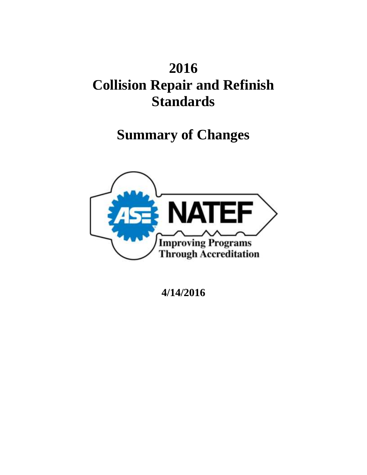# **2016 Collision Repair and Refinish Standards**

# **Summary of Changes**



**4/14/2016**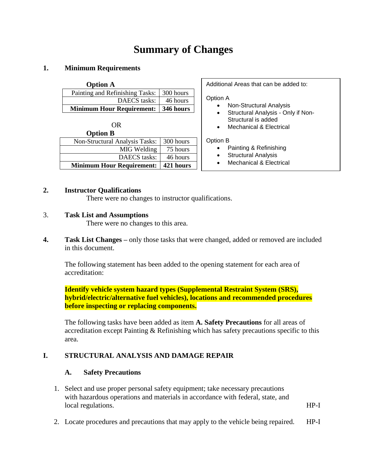# **Summary of Changes**

#### **1. Minimum Requirements**

| <b>Option A</b>                       |           |
|---------------------------------------|-----------|
| Painting and Refinishing Tasks:       | 300 hours |
| DAECS tasks:                          | 46 hours  |
| Minimum Hour Requirement:   346 hours |           |

| OR                               |           |
|----------------------------------|-----------|
| <b>Option B</b>                  |           |
| Non-Structural Analysis Tasks:   | 300 hours |
| MIG Welding                      | 75 hours  |
| DAECS tasks:                     | 46 hours  |
| <b>Minimum Hour Requirement:</b> | 421 hours |

Additional Areas that can be added to:

#### Option A

- Non-Structural Analysis
- Structural Analysis Only if Non-Structural is added
- Mechanical & Electrical

#### Option B

- Painting & Refinishing
- Structural Analysis
- Mechanical & Electrical

#### **2. Instructor Qualifications**

There were no changes to instructor qualifications.

3. **Task List and Assumptions**

There were no changes to this area.

**4. Task List Changes –** only those tasks that were changed, added or removed are included in this document.

The following statement has been added to the opening statement for each area of accreditation:

**Identify vehicle system hazard types (Supplemental Restraint System (SRS), hybrid/electric/alternative fuel vehicles), locations and recommended procedures before inspecting or replacing components.**

The following tasks have been added as item **A. Safety Precautions** for all areas of accreditation except Painting & Refinishing which has safety precautions specific to this area.

#### **I. STRUCTURAL ANALYSIS AND DAMAGE REPAIR**

#### **A. Safety Precautions**

- 1. Select and use proper personal safety equipment; take necessary precautions with hazardous operations and materials in accordance with federal, state, and local regulations. HP-I
- 2. Locate procedures and precautions that may apply to the vehicle being repaired. HP-I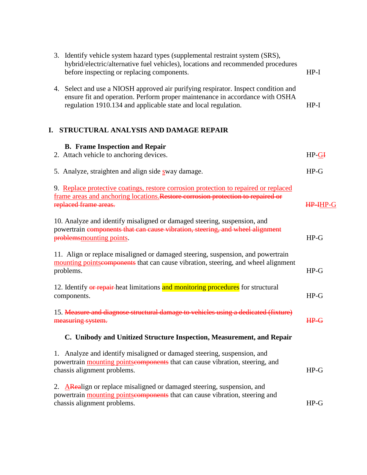| 3. Identify vehicle system hazard types (supplemental restraint system (SRS),<br>hybrid/electric/alternative fuel vehicles), locations and recommended procedures<br>before inspecting or replacing components.                      | $HP-I$      |
|--------------------------------------------------------------------------------------------------------------------------------------------------------------------------------------------------------------------------------------|-------------|
| 4. Select and use a NIOSH approved air purifying respirator. Inspect condition and<br>ensure fit and operation. Perform proper maintenance in accordance with OSHA<br>regulation 1910.134 and applicable state and local regulation. | $HP-I$      |
| STRUCTURAL ANALYSIS AND DAMAGE REPAIR<br>I.                                                                                                                                                                                          |             |
| <b>B.</b> Frame Inspection and Repair                                                                                                                                                                                                |             |
| 2. Attach vehicle to anchoring devices.                                                                                                                                                                                              | $HP-GI$     |
| 5. Analyze, straighten and align side sway damage.                                                                                                                                                                                   | $HP-G$      |
| 9. Replace protective coatings, restore corrosion protection to repaired or replaced<br>frame areas and anchoring locations. Restore corrosion protection to repaired or<br>replaced frame areas.                                    | HP-IHP-G    |
| 10. Analyze and identify misaligned or damaged steering, suspension, and<br>powertrain components that can cause vibration, steering, and wheel alignment<br>problems mounting points.                                               | $HP-G$      |
| 11. Align or replace misaligned or damaged steering, suspension, and powertrain<br>mounting points eomponents that can cause vibration, steering, and wheel alignment<br>problems.                                                   | $HP-G$      |
| 12. Identify or repair-heat limitations and monitoring procedures for structural<br>components.                                                                                                                                      | $HP-G$      |
| 15. Measure and diagnose structural damage to vehicles using a dedicated (fixture)<br>measuring system.                                                                                                                              | <b>HP-G</b> |
| C. Unibody and Unitized Structure Inspection, Measurement, and Repair                                                                                                                                                                |             |
| 1. Analyze and identify misaligned or damaged steering, suspension, and<br>powertrain mounting pointscomponents that can cause vibration, steering, and<br>chassis alignment problems.                                               | $HP-G$      |
| 2. ARealign or replace misaligned or damaged steering, suspension, and<br>powertrain mounting pointseomponents that can cause vibration, steering and<br>chassis alignment problems.                                                 | $HP-G$      |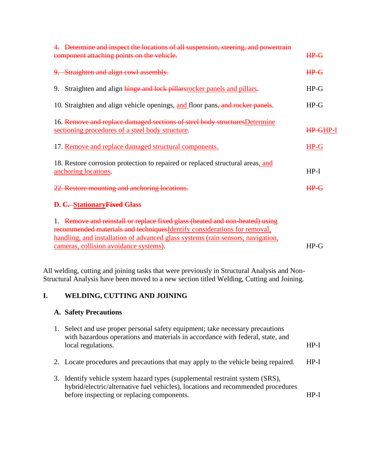| WELDING, CUTTING AND JOINING<br>I.                                                                                                                                                                                                                                                     |          |  |
|----------------------------------------------------------------------------------------------------------------------------------------------------------------------------------------------------------------------------------------------------------------------------------------|----------|--|
| All welding, cutting and joining tasks that were previously in Structural Analysis and Non-<br>Structural Analysis have been moved to a new section titled Welding, Cutting and Joining.                                                                                               |          |  |
| 1. Remove and reinstall or replace fixed glass (heated and non-heated) using<br>recommended materials and techniques Identify considerations for removal,<br>handling, and installation of advanced glass systems (rain sensors, navigation,<br>cameras, collision avoidance systems). | $HP-G$   |  |
| 22. Restore mounting and anchoring locations.<br>D. C. Stationary Fixed Glass                                                                                                                                                                                                          | $HP-G$   |  |
| 18. Restore corrosion protection to repaired or replaced structural areas, and<br>anchoring locations.                                                                                                                                                                                 | $HP-I$   |  |
| 17. Remove and replace damaged structural components.                                                                                                                                                                                                                                  | $HP-G$   |  |
| 16. Remove and replace damaged sections of steel body structures Determine<br>sectioning procedures of a steel body structure.                                                                                                                                                         | HP-GHP-I |  |
| 10. Straighten and align vehicle openings, and floor pans, and rocker panels.                                                                                                                                                                                                          | $HP-G$   |  |
| 9. Straighten and align hinge and lock pillars rocker panels and pillars.                                                                                                                                                                                                              | $HP-G$   |  |
| 9. Straighten and align cowl assembly.                                                                                                                                                                                                                                                 | HPG      |  |
| 4. Determine and inspect the locations of all suspension, steering, and powertrain<br>component attaching points on the vehicle.                                                                                                                                                       | $HP-G$   |  |
|                                                                                                                                                                                                                                                                                        |          |  |

## **A. Safety Precautions**

| 1. | Select and use proper personal safety equipment; take necessary precautions<br>with hazardous operations and materials in accordance with federal, state, and<br>local regulations.                             | $HP-I$ |
|----|-----------------------------------------------------------------------------------------------------------------------------------------------------------------------------------------------------------------|--------|
|    | 2. Locate procedures and precautions that may apply to the vehicle being repaired.                                                                                                                              | $HP-I$ |
|    | 3. Identify vehicle system hazard types (supplemental restraint system (SRS),<br>hybrid/electric/alternative fuel vehicles), locations and recommended procedures<br>before inspecting or replacing components. | HP-I   |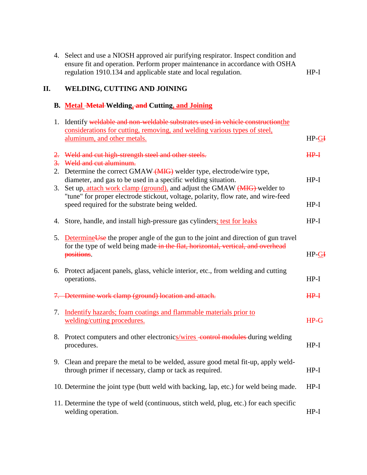| 4. Select and use a NIOSH approved air purifying respirator. Inspect condition and |        |
|------------------------------------------------------------------------------------|--------|
| ensure fit and operation. Perform proper maintenance in accordance with OSHA       |        |
| regulation 1910.134 and applicable state and local regulation.                     | $HP-I$ |

## **II. WELDING, CUTTING AND JOINING**

### **B. Metal Metal Welding, and Cutting, and Joining**

|    | 1. Identify weldable and non-weldable substrates used in vehicle construction the                                                                                                                                 |        |
|----|-------------------------------------------------------------------------------------------------------------------------------------------------------------------------------------------------------------------|--------|
|    | considerations for cutting, removing, and welding various types of steel,<br>aluminum, and other metals.                                                                                                          | HP-GI  |
|    | 2. Weld and cut high-strength steel and other steels.<br>3. Weld and cut aluminum.                                                                                                                                | $HP+$  |
| 3. | 2. Determine the correct GMAW (MIG) welder type, electrode/wire type,<br>diameter, and gas to be used in a specific welding situation.<br>Set up, attach work clamp (ground), and adjust the GMAW (MIG) welder to | $HP-I$ |
|    | "tune" for proper electrode stickout, voltage, polarity, flow rate, and wire-feed<br>speed required for the substrate being welded.                                                                               | $HP-I$ |
|    | 4. Store, handle, and install high-pressure gas cylinders; test for leaks                                                                                                                                         | $HP-I$ |
|    | 5. Determine Use the proper angle of the gun to the joint and direction of gun travel<br>for the type of weld being made in the flat, horizontal, vertical, and overhead<br>positions.                            | HP-GI  |
|    | 6. Protect adjacent panels, glass, vehicle interior, etc., from welding and cutting<br>operations.                                                                                                                | $HP-I$ |
|    | 7. Determine work clamp (ground) location and attach.                                                                                                                                                             | $HP+$  |
|    | 7. Indentify hazards; foam coatings and flammable materials prior to<br>welding/cutting procedures.                                                                                                               | $HP-G$ |
|    | 8. Protect computers and other electronics/wires control modules during welding<br>procedures.                                                                                                                    | $HP-I$ |
|    | 9. Clean and prepare the metal to be welded, assure good metal fit-up, apply weld-<br>through primer if necessary, clamp or tack as required.                                                                     | $HP-I$ |
|    | 10. Determine the joint type (butt weld with backing, lap, etc.) for weld being made.                                                                                                                             | $HP-I$ |
|    | 11. Determine the type of weld (continuous, stitch weld, plug, etc.) for each specific<br>welding operation.                                                                                                      | $HP-I$ |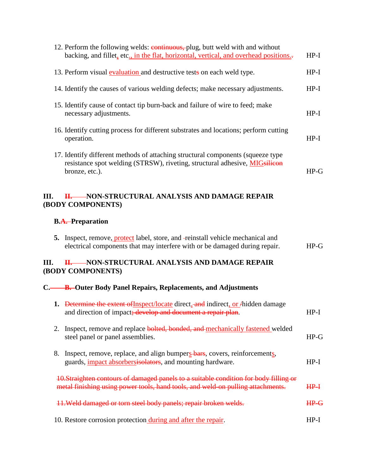|      | 12. Perform the following welds: continuous, plug, butt weld with and without<br>backing, and fillet, etc., in the flat, horizontal, vertical, and overhead positions.-                 | $HP-I$      |
|------|-----------------------------------------------------------------------------------------------------------------------------------------------------------------------------------------|-------------|
|      | 13. Perform visual evaluation and destructive tests on each weld type.                                                                                                                  | $HP-I$      |
|      | 14. Identify the causes of various welding defects; make necessary adjustments.                                                                                                         | $HP-I$      |
|      | 15. Identify cause of contact tip burn-back and failure of wire to feed; make<br>necessary adjustments.                                                                                 | $HP-I$      |
|      | 16. Identify cutting process for different substrates and locations; perform cutting<br>operation.                                                                                      | $HP-I$      |
|      | 17. Identify different methods of attaching structural components (squeeze type)<br>resistance spot welding (STRSW), riveting, structural adhesive, <b>MIGsilicon</b><br>bronze, etc.). | $HP-G$      |
| III. | -NON-STRUCTURAL ANALYSIS AND DAMAGE REPAIR<br><b>H.</b><br>(BODY COMPONENTS)<br><b>B.A.</b> -Preparation                                                                                |             |
| 5.   | Inspect, remove, protect label, store, and -reinstall vehicle mechanical and<br>electrical components that may interfere with or be damaged during repair.                              | $HP-G$      |
| III. | H. NON-STRUCTURAL ANALYSIS AND DAMAGE REPAIR<br>(BODY COMPONENTS)                                                                                                                       |             |
|      | C. B. Outer Body Panel Repairs, Replacements, and Adjustments                                                                                                                           |             |
|      | 1. Determine the extent of Inspect/locate direct, and indirect, or Anidden damage<br>and direction of impact; develop and document a repair plan.                                       | $HP-I$      |
| 2.   | Inspect, remove and replace bolted, bonded, and mechanically fastened welded<br>steel panel or panel assemblies.                                                                        | $HP-G$      |
| 8.   | Inspect, remove, replace, and align bumpers bars, covers, reinforcements,<br>guards, <i>impact absorbersisolators</i> , and mounting hardware.                                          | $HP-I$      |
|      |                                                                                                                                                                                         |             |
|      | 10.Straighten contours of damaged panels to a suitable condition for body filling or<br>metal finishing using power tools, hand tools, and weld-on pulling attachments.                 | $HP+$       |
|      | 11. Weld damaged or torn steel body panels; repair broken welds.                                                                                                                        | <b>HP-G</b> |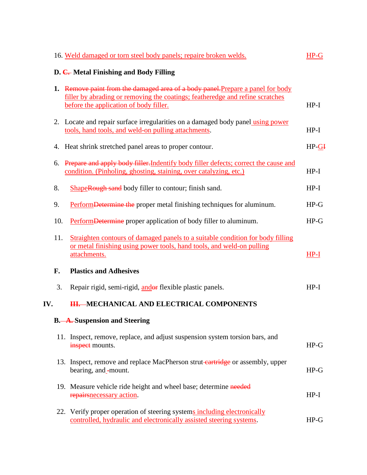|     |     | 16. Weld damaged or torn steel body panels; repaire broken welds.                                                                                                                                          | $HP-G$  |
|-----|-----|------------------------------------------------------------------------------------------------------------------------------------------------------------------------------------------------------------|---------|
|     |     | D. C. Metal Finishing and Body Filling                                                                                                                                                                     |         |
|     |     | 1. Remove paint from the damaged area of a body panel. Prepare a panel for body<br>filler by abrading or removing the coatings; featheredge and refine scratches<br>before the application of body filler. | $HP-I$  |
|     |     | 2. Locate and repair surface irregularities on a damaged body panel using power<br>tools, hand tools, and weld-on pulling attachments.                                                                     | $HP-I$  |
|     |     | 4. Heat shrink stretched panel areas to proper contour.                                                                                                                                                    | $HP-GI$ |
|     | 6.  | Prepare and apply body filler. Indentify body filler defects; correct the cause and<br>condition. (Pinholing, ghosting, staining, over catalyzing, etc.)                                                   | $HP-I$  |
|     | 8.  | ShapeRough sand body filler to contour; finish sand.                                                                                                                                                       | $HP-I$  |
|     | 9.  | PerformDetermine the proper metal finishing techniques for aluminum.                                                                                                                                       | $HP-G$  |
|     | 10. | Perform Determine proper application of body filler to aluminum.                                                                                                                                           | $HP-G$  |
|     | 11. | Straighten contours of damaged panels to a suitable condition for body filling<br>or metal finishing using power tools, hand tools, and weld-on pulling<br>attachments.                                    | $HP-I$  |
|     | F.  | <b>Plastics and Adhesives</b>                                                                                                                                                                              |         |
|     | 3.  | Repair rigid, semi-rigid, and or flexible plastic panels.                                                                                                                                                  | $HP-I$  |
| IV. |     | <b>HI. MECHANICAL AND ELECTRICAL COMPONENTS</b>                                                                                                                                                            |         |
|     |     | <b>B.</b> -A. Suspension and Steering                                                                                                                                                                      |         |
|     |     | 11. Inspect, remove, replace, and adjust suspension system torsion bars, and<br>inspect mounts.                                                                                                            | $HP-G$  |
|     |     | 13. Inspect, remove and replace MacPherson strut-cartridge or assembly, upper<br>bearing, and -mount.                                                                                                      | $HP-G$  |
|     |     | 19. Measure vehicle ride height and wheel base; determine needed<br>repairs necessary action.                                                                                                              | $HP-I$  |
|     |     | 22. Verify proper operation of steering systems including electronically<br>controlled, hydraulic and electronically assisted steering systems.                                                            | $HP-G$  |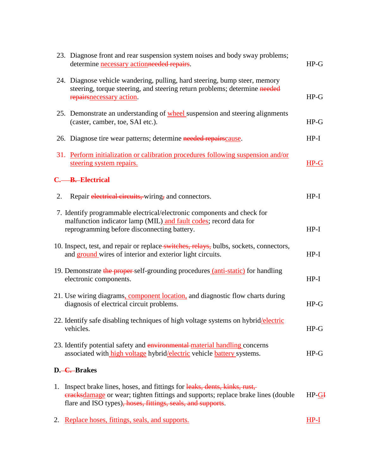|    | 23. Diagnose front and rear suspension system noises and body sway problems;<br>determine necessary actionneeded repairs.                                                                                                  | $HP-G$  |
|----|----------------------------------------------------------------------------------------------------------------------------------------------------------------------------------------------------------------------------|---------|
|    | 24. Diagnose vehicle wandering, pulling, hard steering, bump steer, memory<br>steering, torque steering, and steering return problems; determine needed<br>repairs necessary action.                                       | $HP-G$  |
|    | 25. Demonstrate an understanding of <b>wheel</b> suspension and steering alignments<br>(caster, camber, toe, SAI etc.).                                                                                                    | $HP-G$  |
|    | 26. Diagnose tire wear patterns; determine needed repairscause.                                                                                                                                                            | $HP-I$  |
|    | 31. Perform initialization or calibration procedures following suspension and/or<br>steering system repairs.                                                                                                               | $HP-G$  |
|    | C. B. Electrical                                                                                                                                                                                                           |         |
| 2. | Repair electrical circuits, wiring, and connectors.                                                                                                                                                                        | $HP-I$  |
|    | 7. Identify programmable electrical/electronic components and check for<br>malfunction indicator lamp (MIL) and fault codes; record data for<br>reprogramming before disconnecting battery.                                | $HP-I$  |
|    | 10. Inspect, test, and repair or replace switches, relays, bulbs, sockets, connectors,<br>and ground wires of interior and exterior light circuits.                                                                        | $HP-I$  |
|    | 19. Demonstrate the proper-self-grounding procedures (anti-static) for handling<br>electronic components.                                                                                                                  | $HP-I$  |
|    | 21. Use wiring diagrams, component location, and diagnostic flow charts during<br>diagnosis of electrical circuit problems.                                                                                                | $HP-G$  |
|    | 22. Identify safe disabling techniques of high voltage systems on hybrid/electric<br>vehicles.                                                                                                                             | $HP-G$  |
|    | 23. Identify potential safety and environmental-material handling concerns<br>associated with high voltage hybrid/electric vehicle battery systems.                                                                        | $HP-G$  |
|    | D. <del>-C. B</del> rakes                                                                                                                                                                                                  |         |
| 1. | Inspect brake lines, hoses, and fittings for leaks, dents, kinks, rust,<br>eracksdamage or wear; tighten fittings and supports; replace brake lines (double<br>flare and ISO types), hoses, fittings, seals, and supports. | $HP-GH$ |
|    |                                                                                                                                                                                                                            |         |

2. Replace hoses, fittings, seals, and supports. HP-I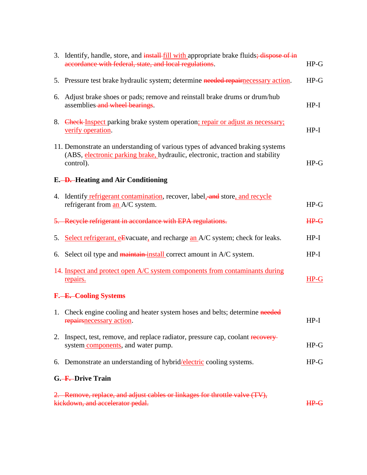| 3. Identify, handle, store, and install-fill with appropriate brake fluids; dispose of in<br>accordance with federal, state, and local regulations.                         | $HP-G$ |
|-----------------------------------------------------------------------------------------------------------------------------------------------------------------------------|--------|
| 5. Pressure test brake hydraulic system; determine needed repairnecessary action.                                                                                           | $HP-G$ |
| 6. Adjust brake shoes or pads; remove and reinstall brake drums or drum/hub<br>assemblies and wheel bearings.                                                               | $HP-I$ |
| 8. Check Inspect parking brake system operation; repair or adjust as necessary;<br>verify operation.                                                                        | $HP-I$ |
| 11. Demonstrate an understanding of various types of advanced braking systems<br>(ABS, electronic parking brake, hydraulic, electronic, traction and stability<br>control). | $HP-G$ |
| E. - D. Heating and Air Conditioning                                                                                                                                        |        |
| 4. Identify refrigerant contamination, recover, label, and store, and recycle<br>refrigerant from an A/C system.                                                            | $HP-G$ |
| 5. Recycle refrigerant in accordance with EPA regulations.                                                                                                                  | $HP-G$ |
| 5. Select refrigerant, eEvacuate, and recharge an A/C system; check for leaks.                                                                                              | $HP-I$ |
| 6. Select oil type and maintain-install correct amount in A/C system.                                                                                                       | $HP-I$ |
| 14. Inspect and protect open A/C system components from contaminants during<br>repairs.                                                                                     | $HP-G$ |
| F. - E. Cooling Systems                                                                                                                                                     |        |
| 1. Check engine cooling and heater system hoses and belts; determine needed<br>repairs necessary action.                                                                    | $HP-I$ |
| 2. Inspect, test, remove, and replace radiator, pressure cap, coolant recovery-<br>system components, and water pump.                                                       | $HP-G$ |
| 6. Demonstrate an understanding of hybrid/electric cooling systems.                                                                                                         | $HP-G$ |
| G. F. Drive Train                                                                                                                                                           |        |
| 2. Remove, replace, and adjust cables or linkages for throttle valve (TV),<br>kickdown, and accelerator pedal.                                                              | $HP-G$ |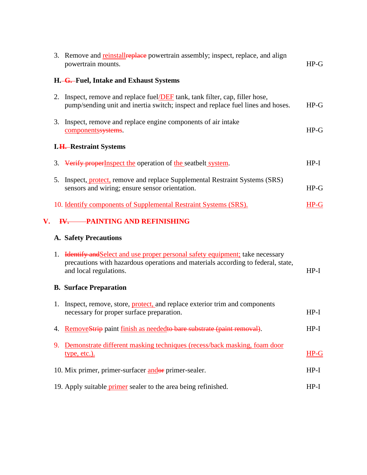|    |    | 3. Remove and reinstallreplace powertrain assembly; inspect, replace, and align<br>powertrain mounts.                                                                                            | $HP-G$ |
|----|----|--------------------------------------------------------------------------------------------------------------------------------------------------------------------------------------------------|--------|
|    |    | H. G. Fuel, Intake and Exhaust Systems                                                                                                                                                           |        |
|    | 2. | Inspect, remove and replace fuel/DEF tank, tank filter, cap, filler hose,<br>pump/sending unit and inertia switch; inspect and replace fuel lines and hoses.                                     | $HP-G$ |
|    |    | 3. Inspect, remove and replace engine components of air intake<br>componentssystems.                                                                                                             | $HP-G$ |
|    |    | <b>I.H.</b> -Restraint Systems                                                                                                                                                                   |        |
|    |    | 3. Verify properInspect the operation of the seatbelt system.                                                                                                                                    | $HP-I$ |
|    | 5. | Inspect, protect, remove and replace Supplemental Restraint Systems (SRS)<br>sensors and wiring; ensure sensor orientation.                                                                      | $HP-G$ |
|    |    | 10. Identify components of Supplemental Restraint Systems (SRS).                                                                                                                                 | $HP-G$ |
| V. |    | <b>IV. PAINTING AND REFINISHING</b>                                                                                                                                                              |        |
|    |    | <b>A. Safety Precautions</b>                                                                                                                                                                     |        |
|    | 1. | <b>Hentify and Select and use proper personal safety equipment;</b> take necessary<br>precautions with hazardous operations and materials according to federal, state,<br>and local regulations. | $HP-I$ |
|    |    | <b>B. Surface Preparation</b>                                                                                                                                                                    |        |
|    | 1. | Inspect, remove, store, <b>protect</b> , and replace exterior trim and components<br>necessary for proper surface preparation.                                                                   | $HP-I$ |
|    | 4. | RemoveStrip paint finish as neededto bare substrate (paint removal).                                                                                                                             | $HP-I$ |
|    | 9. | Demonstrate different masking techniques (recess/back masking, foam door<br>type, etc.).                                                                                                         | $HP-G$ |
|    |    | 10. Mix primer, primer-surfacer andor primer-sealer.                                                                                                                                             | $HP-I$ |
|    |    | 19. Apply suitable <i>primer</i> sealer to the area being refinished.                                                                                                                            | $HP-I$ |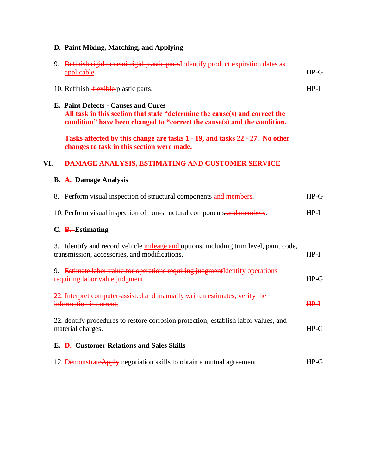## **D. Paint Mixing, Matching, and Applying**

|     |                                                                                                                                                                                                | 9. Refinish rigid or semi-rigid plastic partsIndentify product expiration dates as<br>applicable.                                      | $HP-G$ |
|-----|------------------------------------------------------------------------------------------------------------------------------------------------------------------------------------------------|----------------------------------------------------------------------------------------------------------------------------------------|--------|
|     |                                                                                                                                                                                                | 10. Refinish Hexible plastic parts.                                                                                                    | $HP-I$ |
|     | E. Paint Defects - Causes and Cures<br>All task in this section that state "determine the cause(s) and correct the<br>condition" have been changed to "correct the cause(s) and the condition. |                                                                                                                                        |        |
|     |                                                                                                                                                                                                | Tasks affected by this change are tasks 1 - 19, and tasks 22 - 27. No other<br>changes to task in this section were made.              |        |
| VI. |                                                                                                                                                                                                | DAMAGE ANALYSIS, ESTIMATING AND CUSTOMER SERVICE                                                                                       |        |
|     |                                                                                                                                                                                                | <b>B.</b> A. Damage Analysis                                                                                                           |        |
|     |                                                                                                                                                                                                | 8. Perform visual inspection of structural components and members.                                                                     | $HP-G$ |
|     |                                                                                                                                                                                                | 10. Perform visual inspection of non-structural components and members.                                                                | $HP-I$ |
|     |                                                                                                                                                                                                | C. B. Estimating                                                                                                                       |        |
|     |                                                                                                                                                                                                | 3. Identify and record vehicle mileage and options, including trim level, paint code,<br>transmission, accessories, and modifications. | $HP-I$ |
|     |                                                                                                                                                                                                | 9. Estimate labor value for operations requiring judgmentIdentify operations<br>requiring labor value judgment.                        | $HP-G$ |
|     |                                                                                                                                                                                                | 22. Interpret computer-assisted and manually written estimates; verify the<br>information is current.                                  | $HP+$  |
|     |                                                                                                                                                                                                | 22. dentify procedures to restore corrosion protection; establish labor values, and<br>material charges.                               | $HP-G$ |
|     |                                                                                                                                                                                                | E. D. Customer Relations and Sales Skills                                                                                              |        |
|     |                                                                                                                                                                                                | 12. Demonstrate Apply negotiation skills to obtain a mutual agreement.                                                                 | $HP-G$ |